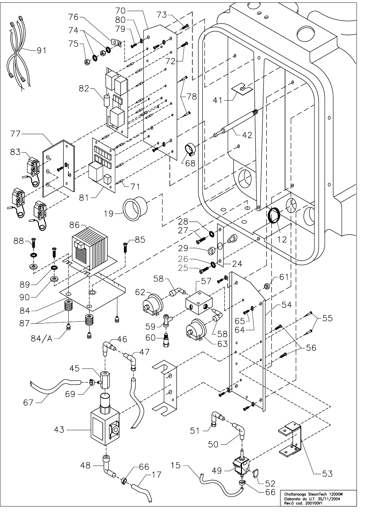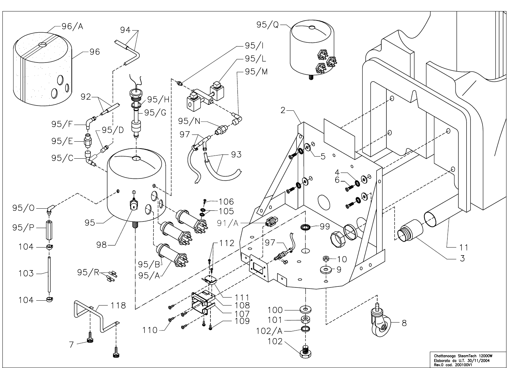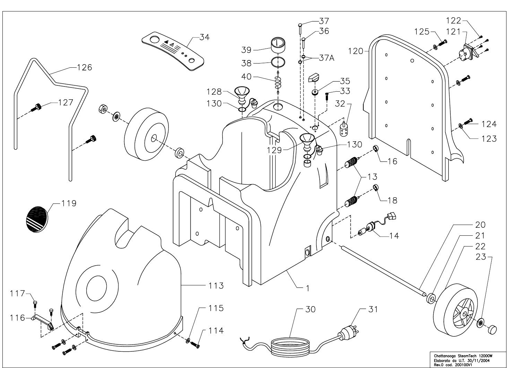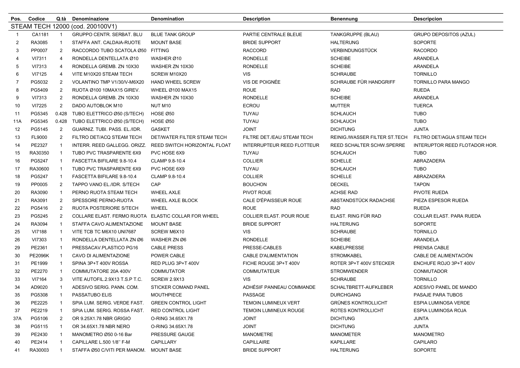| Pos.           | Codice         | Q.tà           | Denominazione                    | <b>Denomination</b>             | Description                       | Benennung                     | <b>Descripcion</b>            |
|----------------|----------------|----------------|----------------------------------|---------------------------------|-----------------------------------|-------------------------------|-------------------------------|
|                |                |                | STEAM TECH 12000 (cod. 200100V1) |                                 |                                   |                               |                               |
| -1             | CA1181         | $\overline{1}$ | <b>GRUPPO CENTR. SERBAT. BLU</b> | <b>BLUE TANK GROUP</b>          | PARTIE CENTRALE BLEUE             | TANKGRUPPE (BLAU)             | <b>GRUPO DEPOSITOS (AZUL)</b> |
| 2              | RA3085         | -1             | STAFFA ANT. CALDAIA-RUOTE        | <b>MOUNT BASE</b>               | <b>BRIDE SUPPORT</b>              | <b>HALTERUNG</b>              | <b>SOPORTE</b>                |
| 3              | PP0007         | $\overline{2}$ | RACCORDO TUBO SCATOLA Ø50        | <b>FITTING</b>                  | <b>RACCORD</b>                    | VERBINDUNGSTÜCK               | <b>RACORDO</b>                |
| 4              | VI7311         | $\overline{4}$ | RONDELLA DENTELLATA Ø10          | WASHER Ø10                      | <b>RONDELLE</b>                   | <b>SCHEIBE</b>                | ARANDELA                      |
| 5              | VI7313         | $\overline{4}$ | RONDELLA GREMB. ZN 10X30         | WASHER ZN 10X30                 | <b>RONDELLE</b>                   | <b>SCHEIBE</b>                | ARANDELA                      |
| 6              | VI7125         | $\overline{4}$ | VITE M10X20 STEAM TECH           | SCREW M10X20                    | <b>VIS</b>                        | <b>SCHRAUBE</b>               | <b>TORNILLO</b>               |
| $\overline{7}$ | PG5032         | $\overline{2}$ | VOLANTINO TMP V1/30/V-M6X20      | <b>HAND WHEEL SCREW</b>         | VIS DE POIGNÉE                    | SCHRAUBE FÜR HANDGRIFF        | <b>TORNILLO PARA MANGO</b>    |
| 8              | PG5409         | $\overline{2}$ | RUOTA Ø100 10MAX15 GIREV.        | WHEEL Ø100 MAX15                | <b>ROUE</b>                       | <b>RAD</b>                    | <b>RUEDA</b>                  |
| 9              | VI7313         | $\overline{2}$ | RONDELLA GREMB. ZN 10X30         | WASHER ZN 10X30                 | <b>RONDELLE</b>                   | <b>SCHEIBE</b>                | <b>ARANDELA</b>               |
| 10             | VI7225         | $\overline{2}$ | DADO AUTOBLOK M10                | NUT M10                         | <b>ECROU</b>                      | <b>MUTTER</b>                 | <b>TUERCA</b>                 |
| 11             | PG5345         | 0.428          | TUBO ELETTRICO Ø50 (S/TECH)      | <b>HOSE Ø50</b>                 | TUYAU                             | <b>SCHLAUCH</b>               | <b>TUBO</b>                   |
| 11A            | PG5345         | 0.428          | TUBO ELETTRICO Ø50 (S/TECH)      | HOSE Ø50                        | TUYAU                             | <b>SCHLAUCH</b>               | <b>TUBO</b>                   |
| 12             | PG5145         | $\overline{2}$ | GUARNIZ. TUBI. PASS. EL./IDR.    | <b>GASKET</b>                   | <b>JOINT</b>                      | <b>DICHTUNG</b>               | <b>JUNTA</b>                  |
| 13             | FL9000         | $\overline{2}$ | FILTRO DET/ACQ STEAM TECH        | DET/WATER FILTER STEAM TECH     | FILTRE DET./EAU STEAM TECH        | REINIG./WASSER FILTER ST.TECH | FILTRO DET/AGUA STEAM TECH    |
| 14             | PE2327         | -1             | INTERR. REED GALLEGG. ORIZZ.     | REED SWITCH HORIZONTAL FLOAT    | <b>INTERRUPTEUR REED FLOTTEUR</b> | REED SCHALTER SCHW.SPERRE     | INTERUPTOR REED FLOTADOR HOR. |
| 15             | RA30350        | -1             | TUBO PVC TRASPARENTE 6X9         | PVC HOSE 6X9                    | TUYAU                             | <b>SCHLAUCH</b>               | <b>TUBO</b>                   |
| 16             | PG5247         | -1             | FASCETTA BIFILARE 9.8-10.4       | CLAMP 9.8-10.4                  | <b>COLLIER</b>                    | <b>SCHELLE</b>                | ABRAZADERA                    |
| 17             | RA30600        | -1             | TUBO PVC TRASPARENTE 6X9         | PVC HOSE 6X9                    | TUYAU                             | <b>SCHLAUCH</b>               | <b>TUBO</b>                   |
| 18             | PG5247         | -1             | FASCETTA BIFILARE 9.8-10.4       | CLAMP 9.8-10.4                  | <b>COLLIER</b>                    | <b>SCHELLE</b>                | ABRAZADERA                    |
| 19             | PP0005         | 2              | TAPPO VANO EL./IDR. S/TECH       | CAP                             | <b>BOUCHON</b>                    | <b>DECKEL</b>                 | <b>TAPON</b>                  |
| 20             | RA3090         | -1             | PERNO RUOTA STEAM TECH           | <b>WHEEL AXLE</b>               | PIVOT ROUE                        | <b>ACHSE RAD</b>              | PIVOTE RUEDA                  |
| 21             | RA3091         | $\overline{2}$ | SPESSORE PERNO-RUOTA             | WHEEL AXLE BLOCK                | CALE D'ÉPAISSEUR ROUE             | ABSTANDSTÜCK RADACHSE         | PIEZA ESPESOR RUEDA           |
| 22             | PG5416         | $\overline{2}$ | RUOTA POSTERIORE S/TECH          | WHEEL                           | <b>ROUE</b>                       | <b>RAD</b>                    | <b>RUEDA</b>                  |
| 23             | PG5245         | $\overline{2}$ | COLLARE ELAST. FERMO RUOTA       | <b>ELASTIC COLLAR FOR WHEEL</b> | COLLIER ELAST. POUR ROUE          | ELAST. RING FÜR RAD           | COLLAR ELAST. PARA RUEDA      |
| 24             | RA3094         | -1             | STAFFA CAVO ALIMENTAZIONE        | <b>MOUNT BASE</b>               | <b>BRIDE SUPPORT</b>              | <b>HALTERUNG</b>              | <b>SOPORTE</b>                |
| 25             | VI7188         | $\mathbf{1}$   | VITE TCB TC M6X10 UNI7687        | SCREW M6X10                     | <b>VIS</b>                        | SCHRAUBE                      | <b>TORNILLO</b>               |
| 26             | VI7303         | -1             | RONDELLA DENTELLATA ZN Ø6        | WASHER ZN Ø6                    | <b>RONDELLE</b>                   | <b>SCHEIBE</b>                | ARANDELA                      |
| 29             | PE2361         | -1             | PRESSACAV.PLASTICO PG16          | <b>CABLE PRESS</b>              | PRESSE-CABLES                     | KABELPRESSE                   | PRENSA CABLE                  |
| 30             | <b>PE2096K</b> | -1             | CAVO DI ALIMENTAZIONE            | POWER CABLE                     | <b>CABLE D'ALIMENTATION</b>       | <b>STROMKABEL</b>             | CABLE DE ALIMENTACIÓN         |
| 31             | PE1999         | -1             | SPINA 3P+T 400V ROSSA            | RED PLUG 3P+T 400V              | FICHE ROUGE 3P+T 400V             | ROTER 3P+T 400V STECKER       | ENCHUFE ROJO 3P+T 400V        |
| 32             | PE2270         | -1             | COMMUTATORE 20A 400V             | <b>COMMUTATOR</b>               | <b>COMMUTATEUR</b>                | <b>STROMWENDER</b>            | CONMUTADOR                    |
| 33             | VI7164         | 3              | VITE AUTOFIL.2.9X13 T.S.P T.C.   | <b>SCREW 2.9X13</b>             | <b>VIS</b>                        | <b>SCHRAUBE</b>               | <b>TORNILLO</b>               |
| 34             | AD9020         | -1             | ADESIVO SERIG. PANN. COM.        | <b>STICKER COMAND PANEL</b>     | ADHÉSIF PANNEAU COMMANDE          | SCHALTBRETT-AUFKLEBER         | ADESIVO PANEL DE MANDO        |
| 35             | PG5308         | $\overline{1}$ | PASSATUBO ELIS                   | <b>MOUTHPIECE</b>               | PASSAGE                           | <b>DURCHGANG</b>              | PASAJE PARA TUBOS             |
| 36             | PE2225         |                | SPIA LUM. SERIG. VERDE FAST.     | <b>GREEN CONTROL LIGHT</b>      | <b>TEMOIN LUMINEUX VERT</b>       | <b>GRÜNES KONTROLLICHT</b>    | <b>ESPIA LUMINOSA VERDE</b>   |
| 37             | PE2219         | -1             | SPIA LUM. SERIG. ROSSA FAST.     | RED CONTROL LIGHT               | <b>TEMOIN LUMINEUX ROUGE</b>      | ROTES KONTROLLICHT            | ESPIA LUMINOSA ROJA           |
| 37A            | PG5106         | $\overline{2}$ | OR 9.25X1.78 NBR GRIGIO          | O-RING 34.65X1.78               | <b>JOINT</b>                      | <b>DICHTUNG</b>               | <b>JUNTA</b>                  |
| 38             | PG5115         |                | OR 34.65X1.78 NBR NERO           | O-RING 34.65X1.78               | <b>JOINT</b>                      | <b>DICHTUNG</b>               | <b>JUNTA</b>                  |
| 39             | PE2430         | -1             | MANOMETRO Ø50 0-16 Bar           | PRESSURE GAUGE                  | <b>MANOMETRE</b>                  | <b>MANOMETER</b>              | <b>MANOMETRO</b>              |
| 40             | PE2414         | -1             | CAPILLARE L.500 1/8" F-M         | CAPILLARY                       | CAPILLAIRE                        | <b>KAPILLARE</b>              | CAPILARO                      |
| 41             | RA30003        | -1             | STAFFA Ø50 C/VITI PER MANOM.     | <b>MOUNT BASE</b>               | <b>BRIDE SUPPORT</b>              | <b>HALTERUNG</b>              | <b>SOPORTE</b>                |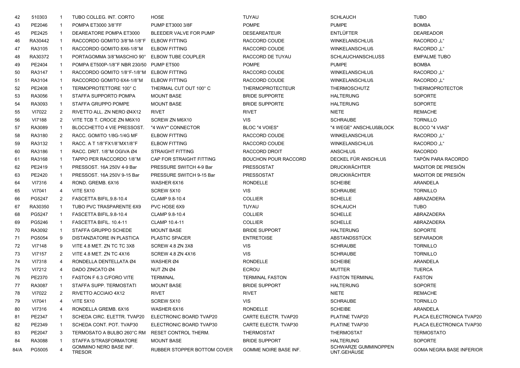| 42   | 510303  | -1             | TUBO COLLEG. INT. CORTO                       | HOSE                        | TUYAU                       | <b>SCHLAUCH</b>                     | <b>TUBO</b>                     |
|------|---------|----------------|-----------------------------------------------|-----------------------------|-----------------------------|-------------------------------------|---------------------------------|
| 43   | PE2046  | -1             | POMPA ET3000 3/8"FF                           | <b>PUMP ET3000 3/8F</b>     | <b>POMPE</b>                | <b>PUMPE</b>                        | <b>BOMBA</b>                    |
| 45   | PE2425  | $\mathbf{1}$   | DEAREATORE POMPA ET3000                       | BLEEDER VALVE FOR PUMP      | <b>DESEAREATEUR</b>         | <b>ENTLÜFTER</b>                    | <b>DEAREADOR</b>                |
| 46   | RA30442 | $\mathbf{1}$   | RACCORDO GOMITO 3/8"M-1/8"F ELBOW FITTING     |                             | RACCORD COUDE               | <b>WINKELANSCHLUß</b>               | RACORDO "L"                     |
| 47   | RA3105  | $\mathbf{1}$   | RACCORDO GOMITO 8X6-1/8"M                     | <b>ELBOW FITTING</b>        | RACCORD COUDE               | <b>WINKELANSCHLUß</b>               | RACORDO "L"                     |
| 48   | RA30372 | $\mathbf{1}$   | PORTAGOMMA 3/8"MASCHIO 90° ELBOW TUBE COUPLER |                             | RACCORD DE TUYAU            | <b>SCHLAUCHANSCHLUSS</b>            | <b>EMPALME TUBO</b>             |
| 49   | PE2404  | $\mathbf{1}$   | POMPA ET500P-1/8"F NBR 230/50 PUMP ET500      |                             | <b>POMPE</b>                | <b>PUMPE</b>                        | <b>BOMBA</b>                    |
| 50   | RA3147  | $\mathbf{1}$   | RACCORDO GOMITO 1/8"F-1/8"M ELBOW FITTING     |                             | RACCORD COUDE               | <b>WINKELANSCHLUß</b>               | RACORDO "L"                     |
| 51   | RA3104  | $\mathbf{1}$   | RACCORDO GOMITO 6X4-1/8"M                     | <b>ELBOW FITTING</b>        | RACCORD COUDE               | <b>WINKELANSCHLUß</b>               | RACORDO "L"                     |
| 52   | PE2408  | $\mathbf{1}$   | TERMOPROTETTORE 100°C                         | THERMAL CUT OUT 100° C      | <b>THERMOPROTECTEUR</b>     | <b>THERMOSCHUTZ</b>                 | <b>THERMOPROTECTOR</b>          |
| 53   | RA3056  | $\mathbf{1}$   | STAFFA SUPPORTO POMPA                         | <b>MOUNT BASE</b>           | <b>BRIDE SUPPORTE</b>       | <b>HALTERUNG</b>                    | <b>SOPORTE</b>                  |
| 54   | RA3093  | $\overline{1}$ | STAFFA GRUPPO POMPE                           | <b>MOUNT BASE</b>           | <b>BRIDE SUPPORTE</b>       | <b>HALTERUNG</b>                    | <b>SOPORTE</b>                  |
| 55   | VI7022  | 2              | RIVETTO ALL. ZN NERO Ø4X12                    | <b>RIVET</b>                | <b>RIVET</b>                | <b>NIETE</b>                        | <b>REMACHE</b>                  |
| 56   | VI7188  | $\overline{2}$ | VITE TCB T. CROCE ZN M6X10                    | SCREW ZN M6X10              | <b>VIS</b>                  | <b>SCHRAUBE</b>                     | <b>TORNILLO</b>                 |
| 57   | RA3089  | $\mathbf{1}$   | BLOCCHETTO 4 VIE PRESSOST.                    | "4 WAY" CONNECTOR           | BLOC "4 VOIES"              | "4 WEGE" ANSCHLUßBLOCK              | BLOCO "4 VIAS"                  |
| 58   | RA3180  | $\overline{2}$ | RACC. GOMITO 1/8G-1/4G MF                     | <b>ELBOW FITTING</b>        | RACCORD COUDE               | <b>WINKELANSCHLUß</b>               | RACORDO "L"                     |
| 59   | RA3132  | $\overline{1}$ | RACC. A T 1/8"FX1/8"MX1/8"F                   | <b>ELBOW FITTING</b>        | RACCORD COUDE               | <b>WINKELANSCHLUß</b>               | RACORDO "L"                     |
| 60   | RA3186  | $\mathbf{1}$   | RACC. DRIT. 1/8"M OGIVA Ø4                    | <b>STRAIGHT FITTING</b>     | RACCORD DROIT               | <b>ANSCHLUß</b>                     | <b>RACORDO</b>                  |
| 61   | RA3168  | $\mathbf{1}$   | TAPPO PER RACCORDO 1/8"M                      | CAP FOR STRAIGHT FITTING    | <b>BOUCHON POUR RACCORD</b> | DECKEL FÜR ANSCHLUß                 | TAPÓN PARA RACORDO              |
| 62   | PE2419  | $\overline{1}$ | PRESSOST, 16A 250V 4-9 Bar                    | PRESSURE SWITCH 4-9 Bar     | <b>PRESSOSTAT</b>           | <b>DRUCKWÄCHTER</b>                 | MADITOR DE PRESIÓN              |
| 63   | PE2420  | $\overline{1}$ | PRESSOST, 16A 250V 9-15 Bar                   | PRESSURE SWITCH 9-15 Bar    | <b>PRESSOSTAT</b>           | <b>DRUCKWÄCHTER</b>                 | MADITOR DE PRESIÓN              |
| 64   | VI7316  | 4              | ROND. GREMB. 6X16                             | WASHER 6X16                 | <b>RONDELLE</b>             | <b>SCHEIBE</b>                      | <b>ARANDELA</b>                 |
| 65   | VI7041  | 4              | <b>VITE 5X10</b>                              | SCREW 5X10                  | <b>VIS</b>                  | <b>SCHRAUBE</b>                     | <b>TORNILLO</b>                 |
| 66   | PG5247  | $\overline{2}$ | FASCETTA BIFIL.9.8-10.4                       | CLAMP 9.8-10.4              | <b>COLLIER</b>              | <b>SCHELLE</b>                      | ABRAZADERA                      |
| 67   | RA30350 | $\mathbf{1}$   | TUBO PVC TRASPARENTE 6X9                      | PVC HOSE 6X9                | TUYAU                       | <b>SCHLAUCH</b>                     | TUBO                            |
| 68   | PG5247  | $\mathbf{1}$   | FASCETTA BIFIL.9.8-10.4                       | CLAMP 9.8-10.4              | <b>COLLIER</b>              | <b>SCHELLE</b>                      | ABRAZADERA                      |
| 69   | PG5246  | -1             | FASCETTA BIFIL. 10.4-11                       | CLAMP 10.4-11               | <b>COLLIER</b>              | <b>SCHELLE</b>                      | ABRAZADERA                      |
| 70   | RA3092  | $\overline{1}$ | STAFFA GRUPPO SCHEDE                          | <b>MOUNT BASE</b>           | <b>BRIDE SUPPORT</b>        | <b>HALTERUNG</b>                    | <b>SOPORTE</b>                  |
| 71   | PG5054  | -9             | DISTANZIATORE IN PLASTICA                     | <b>PLASTIC SPACER</b>       | <b>ENTRETOISE</b>           | ABSTANDSSTÜCK                       | <b>SEPARADOR</b>                |
| 72   | VI7148  | 9              | VITE 4.8 MET. ZN TC TC 3X8                    | SCREW 4.8 ZN 3X8            | <b>VIS</b>                  | <b>SCHRAUBE</b>                     | <b>TORNILLO</b>                 |
| 73   | VI7157  | 2              | VITE 4.8 MET. ZN TC 4X16                      | SCREW 4.8 ZN 4X16           | <b>VIS</b>                  | <b>SCHRAUBE</b>                     | <b>TORNILLO</b>                 |
| 74   | VI7318  | 4              | RONDELLA DENTELLATA Ø4                        | WASHER Ø4                   | <b>RONDELLE</b>             | <b>SCHEIBE</b>                      | ARANDELA                        |
| 75   | VI7212  | 4              | DADO ZINCATO Ø4                               | NUT ZN Ø4                   | <b>ECROU</b>                | <b>MUTTER</b>                       | <b>TUERCA</b>                   |
| 76   | PE2370  | -1             | FASTON F 6.3 C/FORO VITE                      | <b>TERMINAL</b>             | <b>TERMINAL FASTON</b>      | <b>FASTON TERMINAL</b>              | <b>FASTON</b>                   |
| 77   | RA3087  | -1             | STAFFA SUPP. TERMOSTATI                       | <b>MOUNT BASE</b>           | <b>BRIDE SUPPORT</b>        | <b>HALTERUNG</b>                    | SOPORTE                         |
| 78   | VI7022  | 2              | RIVETTO ACCIAIO 4X12                          | <b>RIVET</b>                | <b>RIVET</b>                | <b>NIETE</b>                        | <b>REMACHE</b>                  |
| 79   | VI7041  | 4              | <b>VITE 5X10</b>                              | SCREW 5X10                  | <b>VIS</b>                  | <b>SCHRAUBE</b>                     | <b>TORNILLO</b>                 |
| 80   | VI7316  | 4              | RONDELLA GREMB, 6X16                          | WASHER 6X16                 | <b>RONDELLE</b>             | <b>SCHEIBE</b>                      | ARANDELA                        |
| 81   | PE2347  | -1             | SCHEDA CIRC. ELETTR. TVAP20                   | ELECTRONIC BOARD TVAP20     | CARTE ELECTR. TVAP20        | PLATINE TVAP20                      | PLACA ELECTRONICA TVAP20        |
| 82   | PE2349  | -1             | SCHEDA CONT. POT. TVAP30                      | ELECTRONIC BOARD TVAP30     | CARTE ELECTR. TVAP30        | PLATINE TVAP30                      | PLACA ELECTRONICA TVAP30        |
| 83   | PE2047  | 3              | TERMOSATO A BULBO 260°C RM                    | RESET CONTROL THERM.        | THERMOSTAT                  | <b>THERMOSTAT</b>                   | <b>TERMOSTATO</b>               |
| 84   | RA3088  | 1              | STAFFA S/TRASFORMATORE                        | <b>MOUNT BASE</b>           | <b>BRIDE SUPPORT</b>        | <b>HALTERUNG</b>                    | <b>SOPORTE</b>                  |
| 84/A | PG5005  | 4              | GOMMINO NERO BASE INF.<br><b>TRESOR</b>       | RUBBER STOPPER BOTTOM COVER | GOMME NOIRE BASE INF.       | SCHWARZE GUMMINOPPEN<br>UNT.GEHÄUSE | <b>GOMA NEGRA BASE INFERIOR</b> |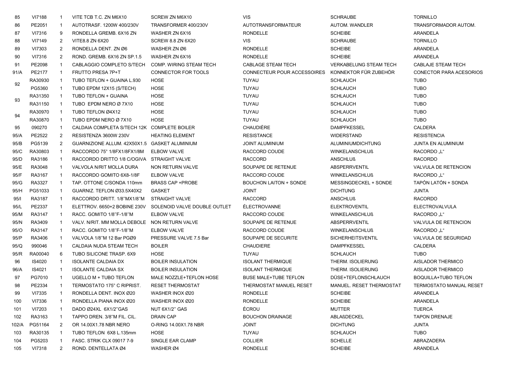| 85    | <b>VI7188</b> | -1             | VITE TCB T.C. ZN M6X10                        | SCREW ZN M6X10                 | <b>VIS</b>                    | <b>SCHRAUBE</b>                 | <b>TORNILLO</b>                |
|-------|---------------|----------------|-----------------------------------------------|--------------------------------|-------------------------------|---------------------------------|--------------------------------|
| 86    | PE2051        |                | AUTOTRASF. 1200W 400/230V                     | TRANSFORMER 400/230V           | AUTOTRANSFORMATEUR            | AUTOM. WANDLER                  | TRANSFORMADOR AUTOM.           |
| 87    | VI7316        | 9              | RONDELLA GREMB, 6X16 ZN                       | WASHER ZN 6X16                 | <b>RONDELLE</b>               | <b>SCHEIBE</b>                  | ARANDELA                       |
| 88    | VI7149        | 2              | VITE8.8 ZN 6X20                               | <b>SCREW 8.8 ZN 6X20</b>       | <b>VIS</b>                    | <b>SCHRAUBE</b>                 | <b>TORNILLO</b>                |
| 89    | VI7303        | $\overline{2}$ | RONDELLA DENT. ZN Ø6                          | WASHER ZN Ø6                   | <b>RONDELLE</b>               | <b>SCHEIBE</b>                  | ARANDELA                       |
| 90    | VI7316        | $\overline{2}$ | ROND. GREMB. 6X16 ZN SP.1.5                   | WASHER ZN 6X16                 | <b>RONDELLE</b>               | <b>SCHEIBE</b>                  | ARANDELA                       |
| 91    | PE2098        | -1             | CABLAGGIO COMPLETO S/TECH                     | <b>COMP. WIRING STEAM TECH</b> | CABLAGE STEAM TECH            | <b>VERKABELUNG STEAM TECH</b>   | CABLAJE STEAM TECH             |
| 91/A  | PE2177        | -1             | FRUTTO PRESA 7P+T                             | CONNECTOR FOR TOOLS            | CONNECTEUR POUR ACCESSOIRES   | KONNEKTOR FÜR ZUBEHÖR           | <b>CONECTOR PARA ACESORIOS</b> |
|       | RA30930       | -1             | TUBO TEFLON + GUAINA L.930                    | <b>HOSE</b>                    | TUYAU                         | <b>SCHLAUCH</b>                 | <b>TUBO</b>                    |
| 92    | PG5360        |                | TUBO EPDM 12X15 (S/TECH)                      | <b>HOSE</b>                    | TUYAU                         | <b>SCHLAUCH</b>                 | <b>TUBO</b>                    |
|       | RA31350       | -1             | TUBO TEFLON + GUAINA                          | <b>HOSE</b>                    | <b>TUYAU</b>                  | <b>SCHLAUCH</b>                 | <b>TUBO</b>                    |
| 93    | RA31150       |                | TUBO EPDM NERO Ø 7X10                         | <b>HOSE</b>                    | TUYAU                         | <b>SCHLAUCH</b>                 | <b>TUBO</b>                    |
|       | RA30970       |                | TUBO TEFLON Ø4X12                             | <b>HOSE</b>                    | <b>TUYAU</b>                  | <b>SCHLAUCH</b>                 | <b>TUBO</b>                    |
| 94    | RA30870       | -1             | TUBO EPDM NERO Ø 7X10                         | <b>HOSE</b>                    | <b>TUYAU</b>                  | <b>SCHLAUCH</b>                 | <b>TUBO</b>                    |
| 95    | 090270        | -1             | CALDAIA COMPLETA S/TECH 12K COMPLETE BOILER   |                                | <b>CHAUDIÈRE</b>              | <b>DAMPFKESSEL</b>              | <b>CALDERA</b>                 |
| 95/A  | PE2522        | 2              | RESISTENZA 3600W 230V                         | <b>HEATING ELEMENT</b>         | <b>RESISTANCE</b>             | <b>WIDERSTAND</b>               | <b>RESISTENCIA</b>             |
| 95/B  | PG5139        | 2              | GUARNIZIONE ALLUM. 42X50X1.5 GASKET ALUMINIUM |                                | <b>JOINT ALUMINIUM</b>        | ALUMINIUMDICHTUNG               | <b>JUNTA EN ALUMINIUM</b>      |
| 95/C  | RA30803       | -1             | RACCORDO 75° 1/8FX1/8FX1/8M                   | <b>ELBOW VALVE</b>             | RACCORD COUDE                 | <b>WINKELANSCHLUß</b>           | <b>RACORDO</b> "L"             |
| 95/D  | RA3186        | -1             | RACCORDO DRITTO 1/8 C/OGIVA STRAIGHT VALVE    |                                | <b>RACCORD</b>                | <b>ANSCHLUß</b>                 | <b>RACORDO</b>                 |
| 95/E  | RA3048        | -1             | VALVOLA N/RIT MOLLA DURA                      | NON RETURN VALVE               | SOUPAPE DE RETENUE            | <b>ABSPERRVENTIL</b>            | VALVULA DE RETENCION           |
| 95/F  | RA3167        |                | RACCORDO GOMITO 6X8-1/8F                      | ELBOW VALVE                    | RACCORD COUDE                 | <b>WINKELANSCHLUß</b>           | <b>RACORDO</b> "L"             |
| 95/G  | RA3327        | -1             | TAP. OTTONE C/SONDA 110mm                     | <b>BRASS CAP +PROBE</b>        | <b>BOUCHON LAITON + SONDE</b> | MESSINGDECKEL + SONDE           | TAPÓN LATÓN + SONDA            |
| 95/H  | PG51033       | -1             | GUARNIZ. TEFLON Ø33.5X40X2                    | <b>GASKET</b>                  | <b>JOINT</b>                  | <b>DICHTUNG</b>                 | <b>JUNTA</b>                   |
| 95/1  | RA3187        | -1             | RACCORDO DRITT. 1/8"MX1/8"M                   | <b>STRAIGHT VALVE</b>          | <b>RACCORD</b>                | <b>ANSCHLUß</b>                 | <b>RACORDO</b>                 |
| 95/L  | PE2337        | -1             | ELETTROV. 6650+2 BOBINE 230V                  | SOLENOID VALVE DOUBLE OUTLET   | <b>ÉLECTROVANNE</b>           | <b>ELEKTROVENTIL</b>            | ELECTROVALVULA                 |
| 95/M  | RA3147        | -1             | RACC. GOMITO 1/8"F-1/8"M                      | <b>ELBOW VALVE</b>             | RACCORD COUDE                 | <b>WINKELANSCHLUß</b>           | RACORDO "L"                    |
| 95/N  | RA3409        | $\mathbf{1}$   | VALV. N/RIT. MM MOLLA DEBOLE NON RETURN VALVE |                                | SOUPAPE DE RETENUE            | <b>ABSPERRVENTIL</b>            | VALVULA DE RETENCION           |
| 95/O  | RA3147        |                | RACC. GOMITO 1/8"F-1/8"M                      | <b>ELBOW VALVE</b>             | RACCORD COUDE                 | <b>WINKELANSCHLUß</b>           | <b>RACORDO</b> "L"             |
| 95/P  | RA3406        | -1             | VALVOLA 1/8"M 12 Bar PGØ9                     | PRESSURE VALVE 7.5 Bar         | SOUPAPE DE SECURITE           | <b>SICHERHEITSVENTIL</b>        | VALVULA DE SEGURIDAD           |
| 95/Q  | 990046        | -1             | CALDAIA NUDA STEAM TECH                       | <b>BOILER</b>                  | <b>CHAUDIERE</b>              | <b>DAMPFKESSEL</b>              | CALDERA                        |
| 95/R  | RA00040       | 6              | TUBO SILICONE TRASP, 6X9                      | <b>HOSE</b>                    | TUYAU                         | <b>SCHLAUCH</b>                 | <b>TUBO</b>                    |
| 96    | IS4020        | -1             | <b>ISOLANTE CALDAIA DX</b>                    | <b>BOILER INSULATION</b>       | <b>ISOLANT THERMIQUE</b>      | THERM. ISOLIERUNG               | AISLADOR THERMICO              |
| 96/A  | IS4021        | -1             | <b>ISOLANTE CALDAIA SX</b>                    | <b>BOILER INSULATION</b>       | <b>ISOLANT THERMIQUE</b>      | THERM. ISOLIERUNG               | AISLADOR THERMICO              |
| 97    | PG7010        |                | UGELLO M + TUBO TEFLON                        | MALE NOZZLE+TEFLON HOSE        | <b>BUSE MALE+TUBE TEFLON</b>  | DÜSE+TEFLONSCHLAUCH             | <b>BOQUILLA+TUBO TEFLON</b>    |
| 98    | PE2334        | -1             | TERMOSTATO 175° C RIPRIST.                    | <b>RESET THERMOSTAT</b>        | THERMOSTAT MANUEL RESET       | <b>MANUEL, RESET THERMOSTAT</b> | <b>TERMOSTATO MANUAL RESET</b> |
| 99    | VI7335        |                | RONDELLA DENT. INOX Ø20                       | WASHER INOX Ø20                | RONDELLE                      | <b>SCHEIBE</b>                  | ARANDELA                       |
| 100   | VI7336        |                | RONDELLA PIANA INOX Ø20                       | WASHER INOX Ø20                | <b>RONDELLE</b>               | <b>SCHEIBE</b>                  | ARANDELA                       |
| 101   | VI7203        |                | DADO Ø24XL 6X1/2"GAS                          | NUT 6X1/2" GAS                 | ÉCROU                         | <b>MUTTER</b>                   | <b>TUERCA</b>                  |
| 102   | RA3163        | -1             | TAPPO DREN. 3/8"M FIL. CIL.                   | <b>DRAIN CAP</b>               | <b>BOUCHON DRAINAGE</b>       | ABLAßDECKEL                     | <b>TAPON DRENAJE</b>           |
| 102/A | PG51164       | 2              | OR 14.00X1.78 NBR NERO                        | O-RING 14.00X1.78 NBR          | <b>JOINT</b>                  | <b>DICHTUNG</b>                 | <b>JUNTA</b>                   |
| 103   | RA30135       |                | TUBO TEFLON 6X8 L.135mm                       | HOSE                           | TUYAU                         | <b>SCHLAUCH</b>                 | <b>TUBO</b>                    |
| 104   | PG5203        |                | FASC. STRIK CLX 09017 7-9                     | SINGLE EAR CLAMP               | <b>COLLIER</b>                | <b>SCHELLE</b>                  | ABRAZADERA                     |
| 105   | VI7318        | $\overline{2}$ | ROND. DENTELLATA Ø4                           | WASHER Ø4                      | RONDELLE                      | <b>SCHEIBE</b>                  | ARANDELA                       |